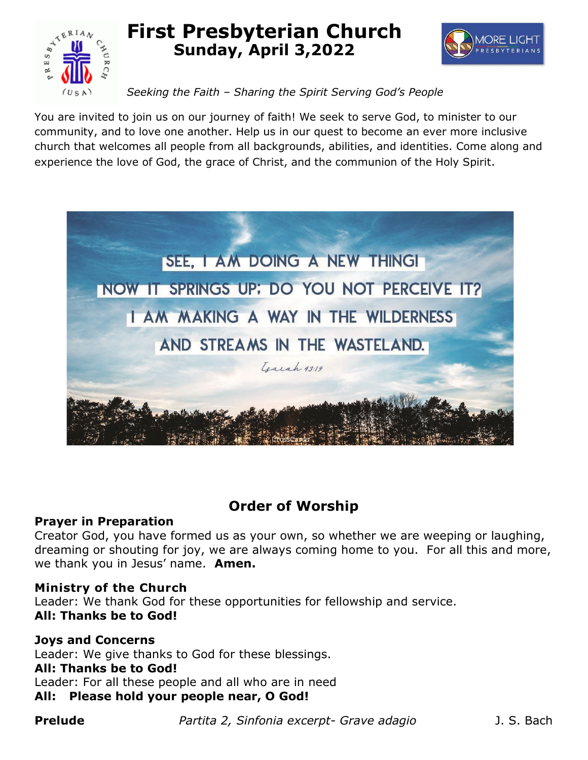

# **First Presbyterian Church Sunday, April 3,2022**



# *Seeking the Faith – Sharing the Spirit Serving God's People*

You are invited to join us on our journey of faith! We seek to serve God, to minister to our community, and to love one another. Help us in our quest to become an ever more inclusive church that welcomes all people from all backgrounds, abilities, and identities. Come along and experience the love of God, the grace of Christ, and the communion of the Holy Spirit.



# **Order of Worship**

# **Prayer in Preparation**

Creator God, you have formed us as your own, so whether we are weeping or laughing, dreaming or shouting for joy, we are always coming home to you. For all this and more, we thank you in Jesus' name. **Amen.**

# **Ministry of the Church**

Leader: We thank God for these opportunities for fellowship and service. **All: Thanks be to God!**

# **Joys and Concerns**

Leader: We give thanks to God for these blessings. **All: Thanks be to God!** Leader: For all these people and all who are in need **All: Please hold your people near, O God!**

**Prelude** *Partita 2, Sinfonia excerpt- Grave adagio* J. S. Bach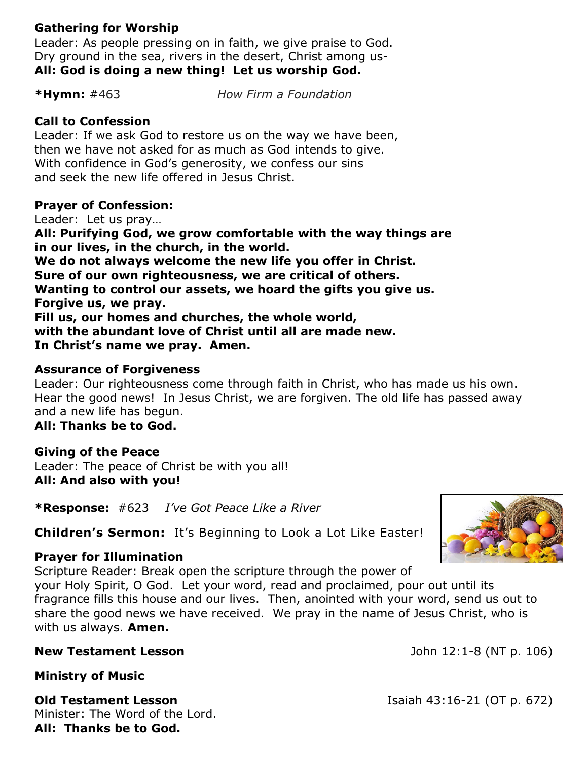# **Gathering for Worship**

Leader: As people pressing on in faith, we give praise to God. Dry ground in the sea, rivers in the desert, Christ among us-**All: God is doing a new thing! Let us worship God.** 

**\*Hymn:** #463 *How Firm a Foundation*

# **Call to Confession**

Leader: If we ask God to restore us on the way we have been, then we have not asked for as much as God intends to give. With confidence in God's generosity, we confess our sins and seek the new life offered in Jesus Christ.

# **Prayer of Confession:**

Leader: Let us pray… **All: Purifying God, we grow comfortable with the way things are in our lives, in the church, in the world. We do not always welcome the new life you offer in Christ. Sure of our own righteousness, we are critical of others. Wanting to control our assets, we hoard the gifts you give us. Forgive us, we pray. Fill us, our homes and churches, the whole world, with the abundant love of Christ until all are made new. In Christ's name we pray. Amen.** 

# **Assurance of Forgiveness**

Leader: Our righteousness come through faith in Christ, who has made us his own. Hear the good news! In Jesus Christ, we are forgiven. The old life has passed away and a new life has begun.

# **All: Thanks be to God.**

# **Giving of the Peace**

Leader: The peace of Christ be with you all! **All: And also with you!**

**\*Response:** #623 *I've Got Peace Like a River*

**Children's Sermon:** It's Beginning to Look a Lot Like Easter!

# **Prayer for Illumination**

Scripture Reader: Break open the scripture through the power of your Holy Spirit, O God. Let your word, read and proclaimed, pour out until its fragrance fills this house and our lives. Then, anointed with your word, send us out to share the good news we have received. We pray in the name of Jesus Christ, who is with us always. **Amen.**

# **New Testament Lesson New Testament Lesson John 12:1-8 (NT p. 106)**

# **Ministry of Music**

**Old Testament Lesson** Isaiah 43:16-21 (OT p. 672) Minister: The Word of the Lord. **All: Thanks be to God.**

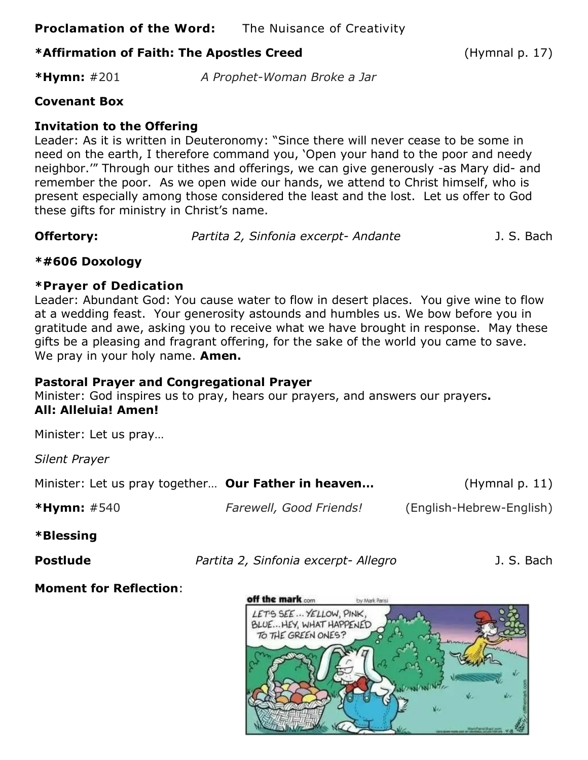**Proclamation of the Word:** The Nuisance of Creativity

# **\*Affirmation of Faith: The Apostles Creed** (Hymnal p. 17)

**\*Hymn:** #201 *A Prophet-Woman Broke a Jar*

# **Covenant Box**

# **Invitation to the Offering**

Leader: As it is written in Deuteronomy: "Since there will never cease to be some in need on the earth, I therefore command you, 'Open your hand to the poor and needy neighbor.'" Through our tithes and offerings, we can give generously -as Mary did- and remember the poor. As we open wide our hands, we attend to Christ himself, who is present especially among those considered the least and the lost. Let us offer to God these gifts for ministry in Christ's name.

**Offertory:** *Partita 2, Sinfonia excerpt- Andante* J. S. Bach

#### **\*#606 Doxology**

#### **\*Prayer of Dedication**

Leader: Abundant God: You cause water to flow in desert places. You give wine to flow at a wedding feast. Your generosity astounds and humbles us. We bow before you in gratitude and awe, asking you to receive what we have brought in response. May these gifts be a pleasing and fragrant offering, for the sake of the world you came to save. We pray in your holy name. **Amen.**

# **Pastoral Prayer and Congregational Prayer**

Minister: God inspires us to pray, hears our prayers, and answers our prayers**. All: Alleluia! Amen!**

Minister: Let us pray…

*Silent Prayer*

| Minister: Let us pray together Our Father in heaven |                         | (Hymnal $p. 11$ )        |
|-----------------------------------------------------|-------------------------|--------------------------|
| <b>*Hymn:</b> $\#540$                               | Farewell, Good Friends! | (English-Hebrew-English) |

#### **\*Blessing**

**Postlude** *Partita 2, Sinfonia excerpt- Allegro* J. S. Bach

# **Moment for Reflection**:

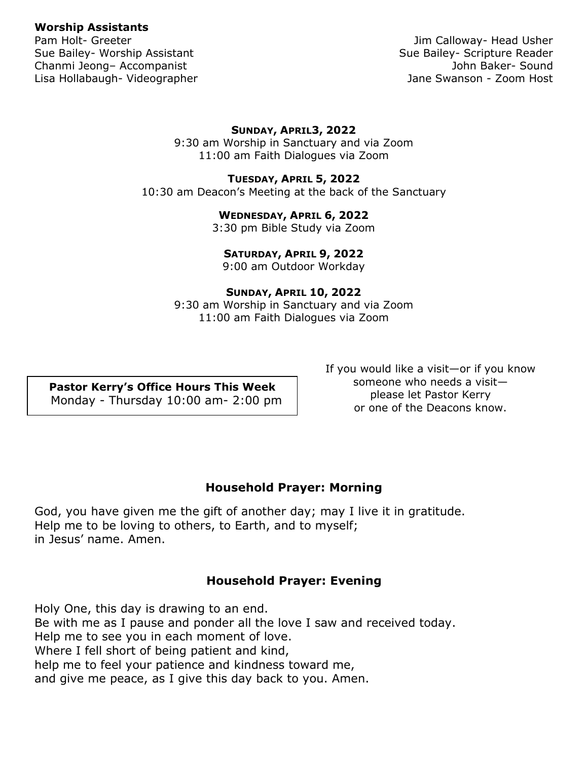#### **Worship Assistants**

Sue Bailey- Worship Assistant Sue Bailey- Scripture Reader Chanmi Jeong– Accompanist John Baker- Sound Lisa Hollabaugh- Videographer **Jane Swanson - Zoom Host** Jane Swanson - Zoom Host

Pam Holt- Greeter **Victor** Controllering and the Usher Jim Calloway- Head Usher

#### **SUNDAY, APRIL3, 2022**

9:30 am Worship in Sanctuary and via Zoom 11:00 am Faith Dialogues via Zoom

#### **TUESDAY, APRIL 5, 2022**

10:30 am Deacon's Meeting at the back of the Sanctuary

#### **WEDNESDAY, APRIL 6, 2022**

3:30 pm Bible Study via Zoom

#### **SATURDAY, APRIL 9, 2022**

9:00 am Outdoor Workday

#### **SUNDAY, APRIL 10, 2022**

9:30 am Worship in Sanctuary and via Zoom 11:00 am Faith Dialogues via Zoom

**Pastor Kerry's Office Hours This Week** Monday - Thursday 10:00 am- 2:00 pm If you would like a visit—or if you know someone who needs a visit please let Pastor Kerry or one of the Deacons know.

#### **Household Prayer: Morning**

God, you have given me the gift of another day; may I live it in gratitude. Help me to be loving to others, to Earth, and to myself; in Jesus' name. Amen.

#### **Household Prayer: Evening**

Holy One, this day is drawing to an end. Be with me as I pause and ponder all the love I saw and received today. Help me to see you in each moment of love. Where I fell short of being patient and kind, help me to feel your patience and kindness toward me, and give me peace, as I give this day back to you. Amen.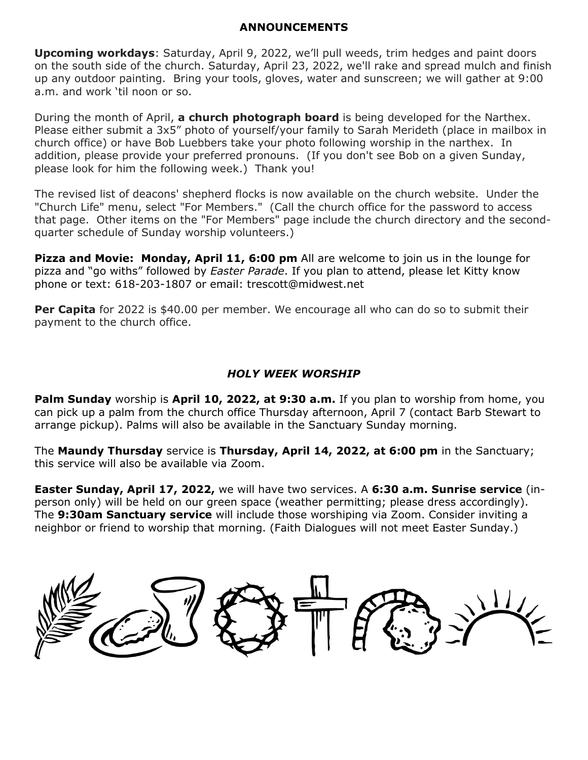#### **ANNOUNCEMENTS**

**Upcoming workdays**: Saturday, April 9, 2022, we'll pull weeds, trim hedges and paint doors on the south side of the church. Saturday, April 23, 2022, we'll rake and spread mulch and finish up any outdoor painting. Bring your tools, gloves, water and sunscreen; we will gather at 9:00 a.m. and work 'til noon or so.

During the month of April, **a church photograph board** is being developed for the Narthex. Please either submit a 3x5" photo of yourself/your family to Sarah Merideth (place in mailbox in church office) or have Bob Luebbers take your photo following worship in the narthex. In addition, please provide your preferred pronouns. (If you don't see Bob on a given Sunday, please look for him the following week.) Thank you!

The revised list of deacons' shepherd flocks is now available on the church website. Under the "Church Life" menu, select "For Members." (Call the church office for the password to access that page. Other items on the "For Members" page include the church directory and the secondquarter schedule of Sunday worship volunteers.)

**Pizza and Movie: Monday, April 11, 6:00 pm** All are welcome to join us in the lounge for pizza and "go withs" followed by *Easter Parade*. If you plan to attend, please let Kitty know phone or text: 618-203-1807 or email: [trescott@midwest.net](mailto:trescott@midwest.net)

**Per Capita** for 2022 is \$40.00 per member. We encourage all who can do so to submit their payment to the church office.

#### *HOLY WEEK WORSHIP*

**Palm Sunday** worship is **April 10, 2022, at 9:30 a.m.** If you plan to worship from home, you can pick up a palm from the church office Thursday afternoon, April 7 (contact Barb Stewart to arrange pickup). Palms will also be available in the Sanctuary Sunday morning.

The **Maundy Thursday** service is **Thursday, April 14, 2022, at 6:00 pm** in the Sanctuary; this service will also be available via Zoom.

**Easter Sunday, April 17, 2022,** we will have two services. A **6:30 a.m. Sunrise service** (inperson only) will be held on our green space (weather permitting; please dress accordingly). The **9:30am Sanctuary service** will include those worshiping via Zoom. Consider inviting a neighbor or friend to worship that morning. (Faith Dialogues will not meet Easter Sunday.)

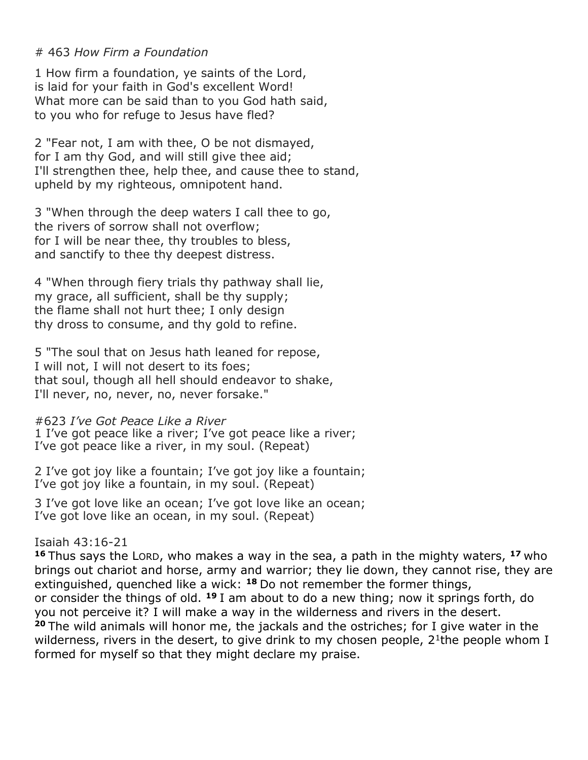#### # 463 *How Firm a Foundation*

1 How firm a foundation, ye saints of the Lord, is laid for your faith in God's excellent Word! What more can be said than to you God hath said, to you who for refuge to Jesus have fled?

2 "Fear not, I am with thee, O be not dismayed, for I am thy God, and will still give thee aid; I'll strengthen thee, help thee, and cause thee to stand, upheld by my righteous, omnipotent hand.

3 "When through the deep waters I call thee to go, the rivers of sorrow shall not overflow; for I will be near thee, thy troubles to bless, and sanctify to thee thy deepest distress.

4 "When through fiery trials thy pathway shall lie, my grace, all sufficient, shall be thy supply; the flame shall not hurt thee; I only design thy dross to consume, and thy gold to refine.

5 "The soul that on Jesus hath leaned for repose, I will not, I will not desert to its foes; that soul, though all hell should endeavor to shake, I'll never, no, never, no, never forsake."

#### #623 *I've Got Peace Like a River*

1 I've got peace like a river; I've got peace like a river; I've got peace like a river, in my soul. (Repeat)

2 I've got joy like a fountain; I've got joy like a fountain; I've got joy like a fountain, in my soul. (Repeat)

3 I've got love like an ocean; I've got love like an ocean; I've got love like an ocean, in my soul. (Repeat)

#### Isaiah 43:16-21

**<sup>16</sup>** Thus says the LORD, who makes a way in the sea, a path in the mighty waters, **<sup>17</sup>** who brings out chariot and horse, army and warrior; they lie down, they cannot rise, they are extinguished, quenched like a wick: **<sup>18</sup>** Do not remember the former things, or consider the things of old. **<sup>19</sup>** I am about to do a new thing; now it springs forth, do you not perceive it? I will make a way in the wilderness and rivers in the desert. **<sup>20</sup>** The wild animals will honor me, the jackals and the ostriches; for I give water in the wilderness, rivers in the desert, to give drink to my chosen people, 2<sup>1</sup>the people whom I formed for myself so that they might declare my praise.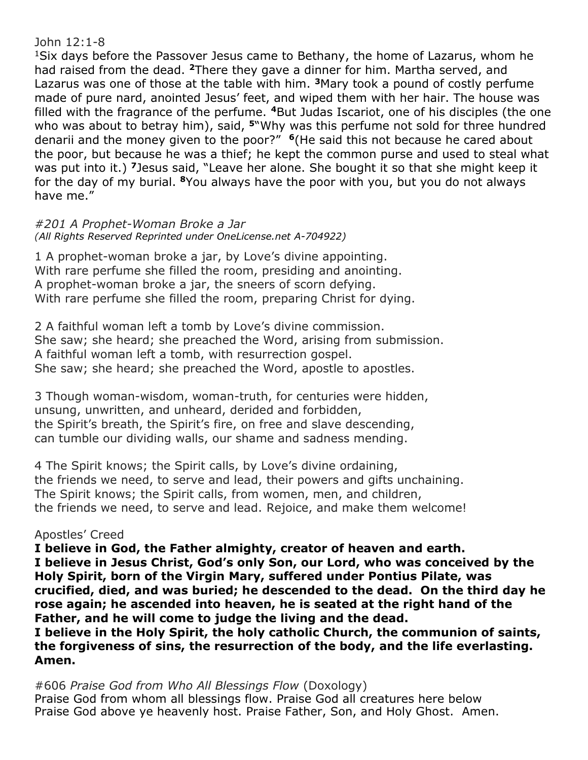#### John 12:1-8

<sup>1</sup>Six days before the Passover Jesus came to Bethany, the home of Lazarus, whom he had raised from the dead. **<sup>2</sup>**There they gave a dinner for him. Martha served, and Lazarus was one of those at the table with him. **<sup>3</sup>**Mary took a pound of costly perfume made of pure nard, anointed Jesus' feet, and wiped them with her hair. The house was filled with the fragrance of the perfume. **<sup>4</sup>**But Judas Iscariot, one of his disciples (the one who was about to betray him), said, **<sup>5</sup>**"Why was this perfume not sold for three hundred denarii and the money given to the poor?" **<sup>6</sup>**(He said this not because he cared about the poor, but because he was a thief; he kept the common purse and used to steal what was put into it.) **<sup>7</sup>**Jesus said, "Leave her alone. She bought it so that she might keep it for the day of my burial. **<sup>8</sup>**You always have the poor with you, but you do not always have me."

*#201 A Prophet-Woman Broke a Jar (All Rights Reserved Reprinted under OneLicense.net A-704922)*

1 A prophet-woman broke a jar, by Love's divine appointing. With rare perfume she filled the room, presiding and anointing. A prophet-woman broke a jar, the sneers of scorn defying. With rare perfume she filled the room, preparing Christ for dying.

2 A faithful woman left a tomb by Love's divine commission. She saw; she heard; she preached the Word, arising from submission. A faithful woman left a tomb, with resurrection gospel. She saw; she heard; she preached the Word, apostle to apostles.

3 Though woman-wisdom, woman-truth, for centuries were hidden, unsung, unwritten, and unheard, derided and forbidden, the Spirit's breath, the Spirit's fire, on free and slave descending, can tumble our dividing walls, our shame and sadness mending.

4 The Spirit knows; the Spirit calls, by Love's divine ordaining, the friends we need, to serve and lead, their powers and gifts unchaining. The Spirit knows; the Spirit calls, from women, men, and children, the friends we need, to serve and lead. Rejoice, and make them welcome!

# Apostles' Creed

**I believe in God, the Father almighty, creator of heaven and earth. I believe in Jesus Christ, God's only Son, our Lord, who was conceived by the Holy Spirit, born of the Virgin Mary, suffered under Pontius Pilate, was crucified, died, and was buried; he descended to the dead. On the third day he rose again; he ascended into heaven, he is seated at the right hand of the Father, and he will come to judge the living and the dead. I believe in the Holy Spirit, the holy catholic Church, the communion of saints, the forgiveness of sins, the resurrection of the body, and the life everlasting. Amen.**

#606 *Praise God from Who All Blessings Flow* (Doxology) Praise God from whom all blessings flow. Praise God all creatures here below Praise God above ye heavenly host. Praise Father, Son, and Holy Ghost. Amen.